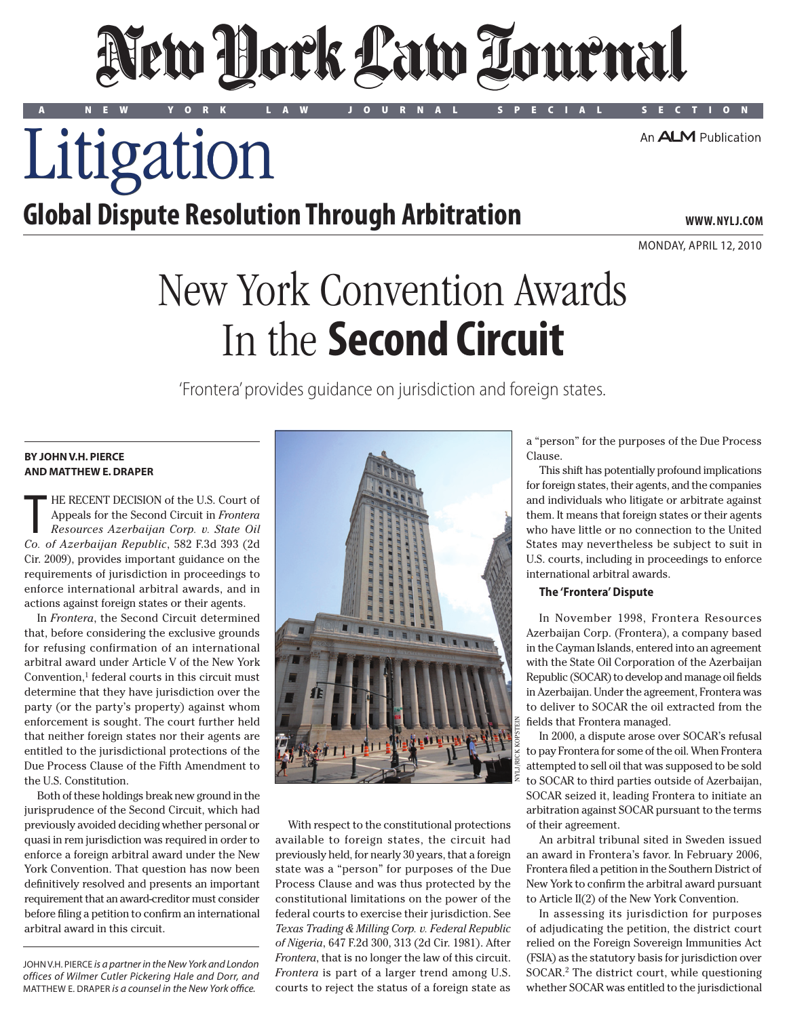# New York Law Tournal

A NEW YORK LAW JOURNAL SPECIAL SECTION

An **ALM** Publication

Litigation

### **Global Dispute Resolution Through Arbitration**

**www. NYLJ.com**

Monday, april 12, 2010

## New York Convention Awards In the **Second Circuit**

'Frontera' provides guidance on jurisdiction and foreign states.

#### **By John V.H. Pierce and Matthew E. Draper**

T HE RECENT DECISION of the U.S. Court of Appeals for the Second Circuit in *Frontera Resources Azerbaijan Corp. v. State Oil Co. of Azerbaijan Republic*, 582 F.3d 393 (2d Cir. 2009), provides important guidance on the requirements of jurisdiction in proceedings to enforce international arbitral awards, and in actions against foreign states or their agents.

In *Frontera*, the Second Circuit determined that, before considering the exclusive grounds for refusing confirmation of an international arbitral award under Article V of the New York Convention,<sup>1</sup> federal courts in this circuit must determine that they have jurisdiction over the party (or the party's property) against whom enforcement is sought. The court further held that neither foreign states nor their agents are entitled to the jurisdictional protections of the Due Process Clause of the Fifth Amendment to the U.S. Constitution.

Both of these holdings break new ground in the jurisprudence of the Second Circuit, which had previously avoided deciding whether personal or quasi in rem jurisdiction was required in order to enforce a foreign arbitral award under the New York Convention. That question has now been definitively resolved and presents an important requirement that an award-creditor must consider before filing a petition to confirm an international arbitral award in this circuit.

John V.H. Pierce *is a partner in the New York and London offices of Wilmer Cutler Pickering Hale and Dorr, and*  Matthew E. Draper *is a counsel in the New York office.*



With respect to the constitutional protections available to foreign states, the circuit had previously held, for nearly 30 years, that a foreign state was a "person" for purposes of the Due Process Clause and was thus protected by the constitutional limitations on the power of the federal courts to exercise their jurisdiction. See *Texas Trading & Milling Corp. v. Federal Republic of Nigeria*, 647 F.2d 300, 313 (2d Cir. 1981). After *Frontera*, that is no longer the law of this circuit. *Frontera* is part of a larger trend among U.S. courts to reject the status of a foreign state as

a "person" for the purposes of the Due Process Clause.

This shift has potentially profound implications for foreign states, their agents, and the companies and individuals who litigate or arbitrate against them. It means that foreign states or their agents who have little or no connection to the United States may nevertheless be subject to suit in U.S. courts, including in proceedings to enforce international arbitral awards.

#### **The 'Frontera' Dispute**

In November 1998, Frontera Resources Azerbaijan Corp. (Frontera), a company based in the Cayman Islands, entered into an agreement with the State Oil Corporation of the Azerbaijan Republic (SOCAR) to develop and manage oil fields in Azerbaijan. Under the agreement, Frontera was to deliver to SOCAR the oil extracted from the fields that Frontera managed.

In 2000, a dispute arose over SOCAR's refusal to pay Frontera for some of the oil. When Frontera attempted to sell oil that was supposed to be sold to SOCAR to third parties outside of Azerbaijan, SOCAR seized it, leading Frontera to initiate an arbitration against SOCAR pursuant to the terms of their agreement.

An arbitral tribunal sited in Sweden issued an award in Frontera's favor. In February 2006, Frontera filed a petition in the Southern District of New York to confirm the arbitral award pursuant to Article II(2) of the New York Convention.

In assessing its jurisdiction for purposes of adjudicating the petition, the district court relied on the Foreign Sovereign Immunities Act (FSIA) as the statutory basis for jurisdiction over SOCAR.2 The district court, while questioning whether SOCAR was entitled to the jurisdictional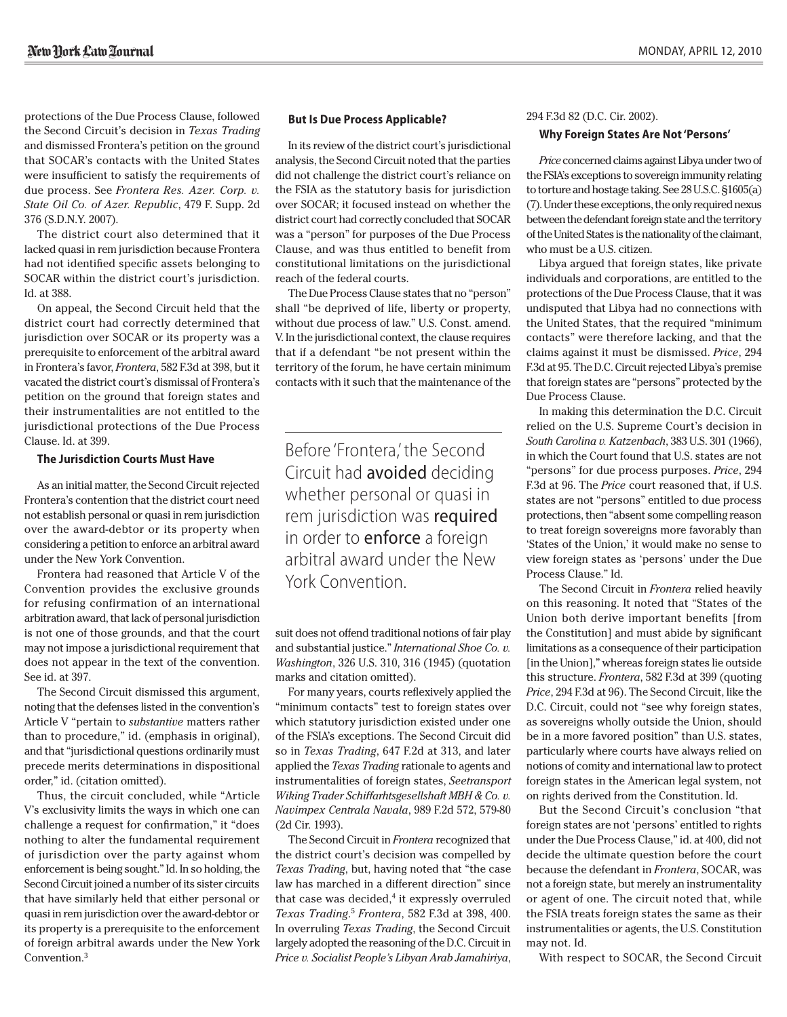protections of the Due Process Clause, followed the Second Circuit's decision in *Texas Trading* and dismissed Frontera's petition on the ground that SOCAR's contacts with the United States were insufficient to satisfy the requirements of due process. See *Frontera Res. Azer. Corp. v. State Oil Co. of Azer. Republic*, 479 F. Supp. 2d 376 (S.D.N.Y. 2007).

The district court also determined that it lacked quasi in rem jurisdiction because Frontera had not identified specific assets belonging to SOCAR within the district court's jurisdiction. Id. at 388.

On appeal, the Second Circuit held that the district court had correctly determined that jurisdiction over SOCAR or its property was a prerequisite to enforcement of the arbitral award in Frontera's favor, *Frontera*, 582 F.3d at 398, but it vacated the district court's dismissal of Frontera's petition on the ground that foreign states and their instrumentalities are not entitled to the jurisdictional protections of the Due Process Clause. Id. at 399.

#### **The Jurisdiction Courts Must Have**

As an initial matter, the Second Circuit rejected Frontera's contention that the district court need not establish personal or quasi in rem jurisdiction over the award-debtor or its property when considering a petition to enforce an arbitral award under the New York Convention.

Frontera had reasoned that Article V of the Convention provides the exclusive grounds for refusing confirmation of an international arbitration award, that lack of personal jurisdiction is not one of those grounds, and that the court may not impose a jurisdictional requirement that does not appear in the text of the convention. See id. at 397.

The Second Circuit dismissed this argument, noting that the defenses listed in the convention's Article V "pertain to *substantive* matters rather than to procedure," id. (emphasis in original), and that "jurisdictional questions ordinarily must precede merits determinations in dispositional order," id. (citation omitted).

Thus, the circuit concluded, while "Article V's exclusivity limits the ways in which one can challenge a request for confirmation," it "does nothing to alter the fundamental requirement of jurisdiction over the party against whom enforcement is being sought." Id. In so holding, the Second Circuit joined a number of its sister circuits that have similarly held that either personal or quasi in rem jurisdiction over the award-debtor or its property is a prerequisite to the enforcement of foreign arbitral awards under the New York Convention.3

#### **But Is Due Process Applicable?**

In its review of the district court's jurisdictional analysis, the Second Circuit noted that the parties did not challenge the district court's reliance on the FSIA as the statutory basis for jurisdiction over SOCAR; it focused instead on whether the district court had correctly concluded that SOCAR was a "person" for purposes of the Due Process Clause, and was thus entitled to benefit from constitutional limitations on the jurisdictional reach of the federal courts.

The Due Process Clause states that no "person" shall "be deprived of life, liberty or property, without due process of law." U.S. Const. amend. V. In the jurisdictional context, the clause requires that if a defendant "be not present within the territory of the forum, he have certain minimum contacts with it such that the maintenance of the

Before 'Frontera,' the Second Circuit had avoided deciding whether personal or quasi in rem jurisdiction was required in order to **enforce** a foreign arbitral award under the New York Convention.

suit does not offend traditional notions of fair play and substantial justice." *International Shoe Co. v. Washington*, 326 U.S. 310, 316 (1945) (quotation marks and citation omitted).

For many years, courts reflexively applied the "minimum contacts" test to foreign states over which statutory jurisdiction existed under one of the FSIA's exceptions. The Second Circuit did so in *Texas Trading*, 647 F.2d at 313, and later applied the *Texas Trading* rationale to agents and instrumentalities of foreign states, *Seetransport Wiking Trader Schiffarhtsgesellshaft MBH & Co. v. Navimpex Centrala Navala*, 989 F.2d 572, 579-80 (2d Cir. 1993).

The Second Circuit in *Frontera* recognized that the district court's decision was compelled by *Texas Trading*, but, having noted that "the case law has marched in a different direction" since that case was decided, $4$  it expressly overruled *Texas Trading*. <sup>5</sup> *Frontera*, 582 F.3d at 398, 400. In overruling *Texas Trading*, the Second Circuit largely adopted the reasoning of the D.C. Circuit in *Price v. Socialist People's Libyan Arab Jamahiriya*,

#### 294 F.3d 82 (D.C. Cir. 2002).

#### **Why Foreign States Are Not 'Persons'**

*Price* concerned claims against Libya under two of the FSIA's exceptions to sovereign immunity relating to torture and hostage taking. See 28 U.S.C. §1605(a) (7). Under these exceptions, the only required nexus between the defendant foreign state and the territory of the United States is the nationality of the claimant, who must be a U.S. citizen.

Libya argued that foreign states, like private individuals and corporations, are entitled to the protections of the Due Process Clause, that it was undisputed that Libya had no connections with the United States, that the required "minimum contacts" were therefore lacking, and that the claims against it must be dismissed. *Price*, 294 F.3d at 95. The D.C. Circuit rejected Libya's premise that foreign states are "persons" protected by the Due Process Clause.

In making this determination the D.C. Circuit relied on the U.S. Supreme Court's decision in *South Carolina v. Katzenbach*, 383 U.S. 301 (1966), in which the Court found that U.S. states are not "persons" for due process purposes. *Price*, 294 F.3d at 96. The *Price* court reasoned that, if U.S. states are not "persons" entitled to due process protections, then "absent some compelling reason to treat foreign sovereigns more favorably than 'States of the Union,' it would make no sense to view foreign states as 'persons' under the Due Process Clause." Id.

The Second Circuit in *Frontera* relied heavily on this reasoning. It noted that "States of the Union both derive important benefits [from the Constitution] and must abide by significant limitations as a consequence of their participation [in the Union]," whereas foreign states lie outside this structure. *Frontera*, 582 F.3d at 399 (quoting *Price*, 294 F.3d at 96). The Second Circuit, like the D.C. Circuit, could not "see why foreign states, as sovereigns wholly outside the Union, should be in a more favored position" than U.S. states, particularly where courts have always relied on notions of comity and international law to protect foreign states in the American legal system, not on rights derived from the Constitution. Id.

But the Second Circuit's conclusion "that foreign states are not 'persons' entitled to rights under the Due Process Clause," id. at 400, did not decide the ultimate question before the court because the defendant in *Frontera*, SOCAR, was not a foreign state, but merely an instrumentality or agent of one. The circuit noted that, while the FSIA treats foreign states the same as their instrumentalities or agents, the U.S. Constitution may not. Id.

With respect to SOCAR, the Second Circuit